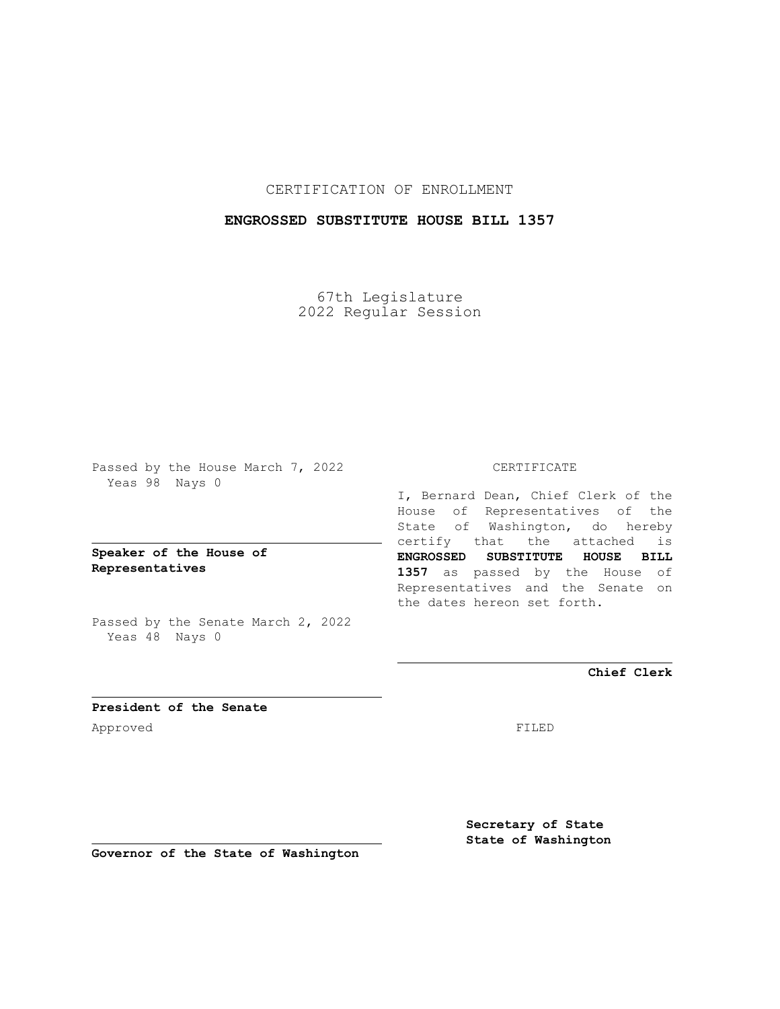CERTIFICATION OF ENROLLMENT

## **ENGROSSED SUBSTITUTE HOUSE BILL 1357**

67th Legislature 2022 Regular Session

Passed by the House March 7, 2022 Yeas 98 Nays 0

**Speaker of the House of Representatives**

Passed by the Senate March 2, 2022 Yeas 48 Nays 0

## CERTIFICATE

I, Bernard Dean, Chief Clerk of the House of Representatives of the State of Washington, do hereby certify that the attached is **ENGROSSED SUBSTITUTE HOUSE BILL 1357** as passed by the House of Representatives and the Senate on the dates hereon set forth.

**Chief Clerk**

**President of the Senate** Approved FILED

**Secretary of State State of Washington**

**Governor of the State of Washington**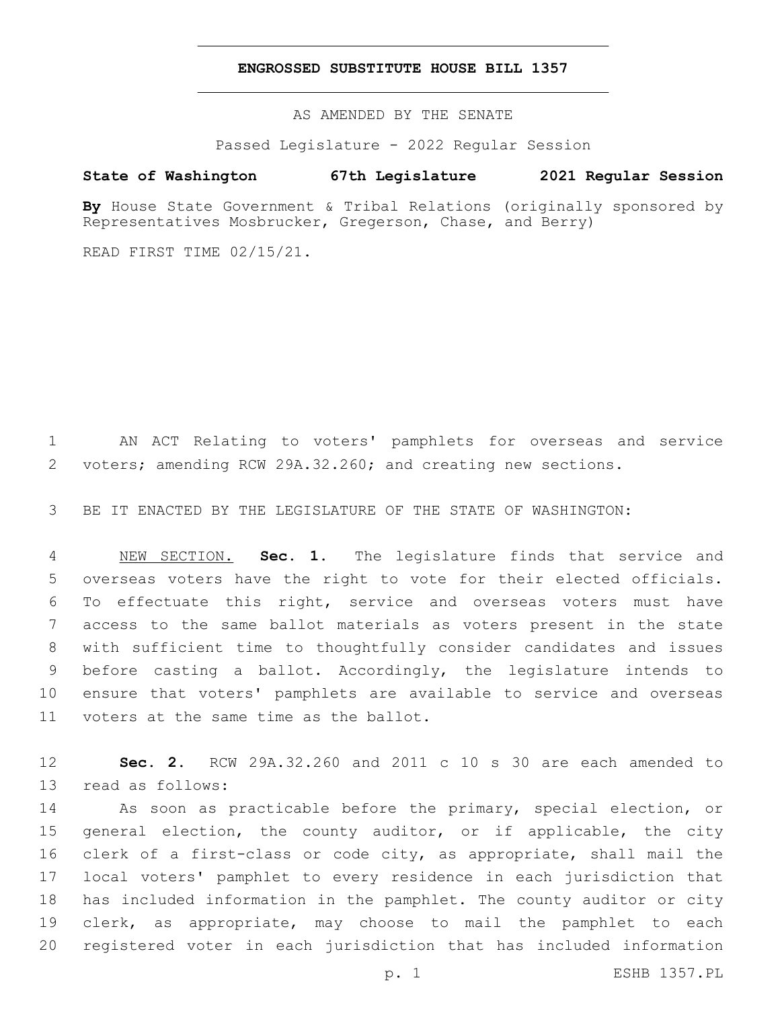## **ENGROSSED SUBSTITUTE HOUSE BILL 1357**

AS AMENDED BY THE SENATE

Passed Legislature - 2022 Regular Session

## **State of Washington 67th Legislature 2021 Regular Session**

By House State Government & Tribal Relations (originally sponsored by Representatives Mosbrucker, Gregerson, Chase, and Berry)

READ FIRST TIME 02/15/21.

 AN ACT Relating to voters' pamphlets for overseas and service voters; amending RCW 29A.32.260; and creating new sections.

BE IT ENACTED BY THE LEGISLATURE OF THE STATE OF WASHINGTON:

 NEW SECTION. **Sec. 1.** The legislature finds that service and overseas voters have the right to vote for their elected officials. To effectuate this right, service and overseas voters must have access to the same ballot materials as voters present in the state with sufficient time to thoughtfully consider candidates and issues before casting a ballot. Accordingly, the legislature intends to ensure that voters' pamphlets are available to service and overseas voters at the same time as the ballot.

 **Sec. 2.** RCW 29A.32.260 and 2011 c 10 s 30 are each amended to 13 read as follows:

 As soon as practicable before the primary, special election, or 15 general election, the county auditor, or if applicable, the city clerk of a first-class or code city, as appropriate, shall mail the local voters' pamphlet to every residence in each jurisdiction that has included information in the pamphlet. The county auditor or city clerk, as appropriate, may choose to mail the pamphlet to each registered voter in each jurisdiction that has included information

p. 1 ESHB 1357.PL